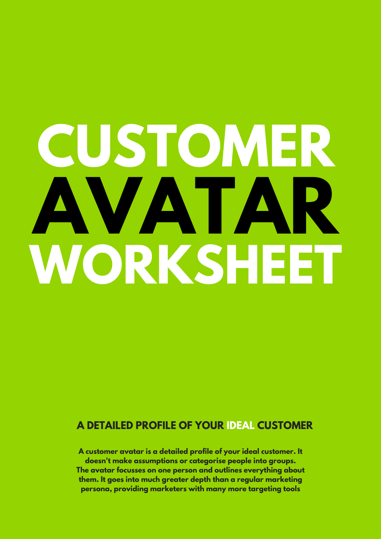# **CUSTOMER AVATAR WORKSHEET**

#### **A DETAILED PROFILE OF YOUR IDEAL CUSTOMER**

**A customer avatar is a detailed profile of your ideal customer. It doesn't make assumptions or categorise people into groups. The avatar focusses on one person and outlines everything about them. It goes into much greater depth than a regular marketing persona, providing marketers with many more targeting tools**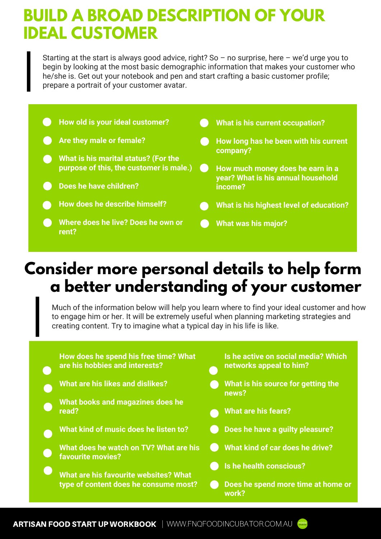# **BUILD A BROAD DESCRIPTION OF YOUR IDEAL CUSTOMER**

Starting at the start is always good advice, right? So  $-$  no surprise, here  $-$  we'd urge you to begin by looking at the most basic demographic information that makes your customer who he/she is. Get out your notebook and pen and start crafting a basic customer profile; prepare a portrait of your customer avatar.



# **Consider more personal details to help form a better understanding of your customer**

Much of the information below will help you learn where to find your ideal customer and how to engage him or her. It will be extremely useful when planning marketing strategies and creating content. Try to imagine what a typical day in his life is like.

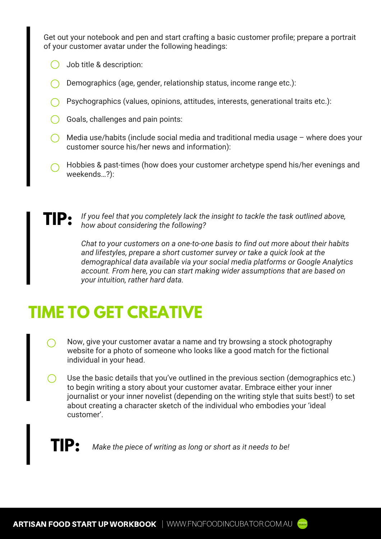Get out your notebook and pen and start crafting a basic customer profile; prepare a portrait of your customer avatar under the following headings:

- Job title & description:
- Demographics (age, gender, relationship status, income range etc.):
- Psychographics (values, opinions, attitudes, interests, generational traits etc.):
- Goals, challenges and pain points:
- $\bigcap$  Media use/habits (include social media and traditional media usage where does your customer source his/her news and information):
- Hobbies & past-times (how does your customer archetype spend his/her evenings and weekends…?):

**TIP:** *If you feel that you completely lack the insight to tackle the task outlined above, how about considering the following?* 

> *Chat to your customers on a one-to-one basis to find out more about their habits and lifestyles, prepare a short customer survey or take a quick look at the demographical data available via your social media platforms or Google Analytics account. From here, you can start making wider assumptions that are based on your intuition, rather hard data.*

# **TIME TO GET CREATIVE**

- Now, give your customer avatar a name and try browsing a stock photography website for a photo of someone who looks like a good match for the fictional individual in your head.
- Use the basic details that you've outlined in the previous section (demographics etc.) to begin writing a story about your customer avatar. Embrace either your inner journalist or your inner novelist (depending on the writing style that suits best!) to set about creating a character sketch of the individual who embodies your 'ideal customer'.

# **TIP:** *Make the piece of writing as long or short as it needs to be!*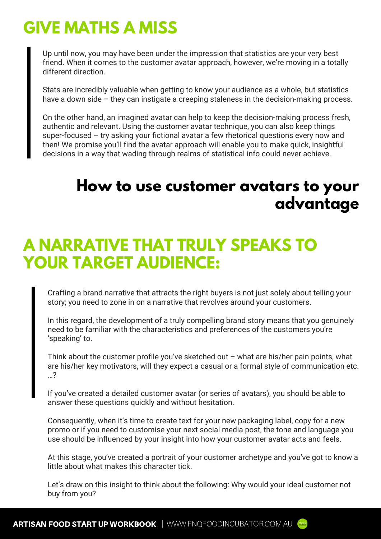# **GIVE MATHS A MISS**

Up until now, you may have been under the impression that statistics are your very best friend. When it comes to the customer avatar approach, however, we're moving in a totally different direction.

Stats are incredibly valuable when getting to know your audience as a whole, but statistics have a down side – they can instigate a creeping staleness in the decision-making process.

On the other hand, an imagined avatar can help to keep the decision-making process fresh, authentic and relevant. Using the customer avatar technique, you can also keep things super-focused – try asking your fictional avatar a few rhetorical questions every now and then! We promise you'll find the avatar approach will enable you to make quick, insightful decisions in a way that wading through realms of statistical info could never achieve.

#### **How to use customer avatars to your advantage**

# **A NARRATIVE THAT TRULY SPEAKS TO YOUR TARGET AUDIENCE:**

Crafting a brand narrative that attracts the right buyers is not just solely about telling your story; you need to zone in on a narrative that revolves around your customers.

In this regard, the development of a truly compelling brand story means that you genuinely need to be familiar with the characteristics and preferences of the customers you're 'speaking' to.

Think about the customer profile you've sketched out  $-$  what are his/her pain points, what are his/her key motivators, will they expect a casual or a formal style of communication etc. …?

If you've created a detailed customer avatar (or series of avatars), you should be able to answer these questions quickly and without hesitation.

Consequently, when it's time to create text for your new packaging label, copy for a new promo or if you need to customise your next social media post, the tone and language you use should be influenced by your insight into how your customer avatar acts and feels.

At this stage, you've created a portrait of your customer archetype and you've got to know a little about what makes this character tick.

Let's draw on this insight to think about the following: Why would your ideal customer not buy from you?